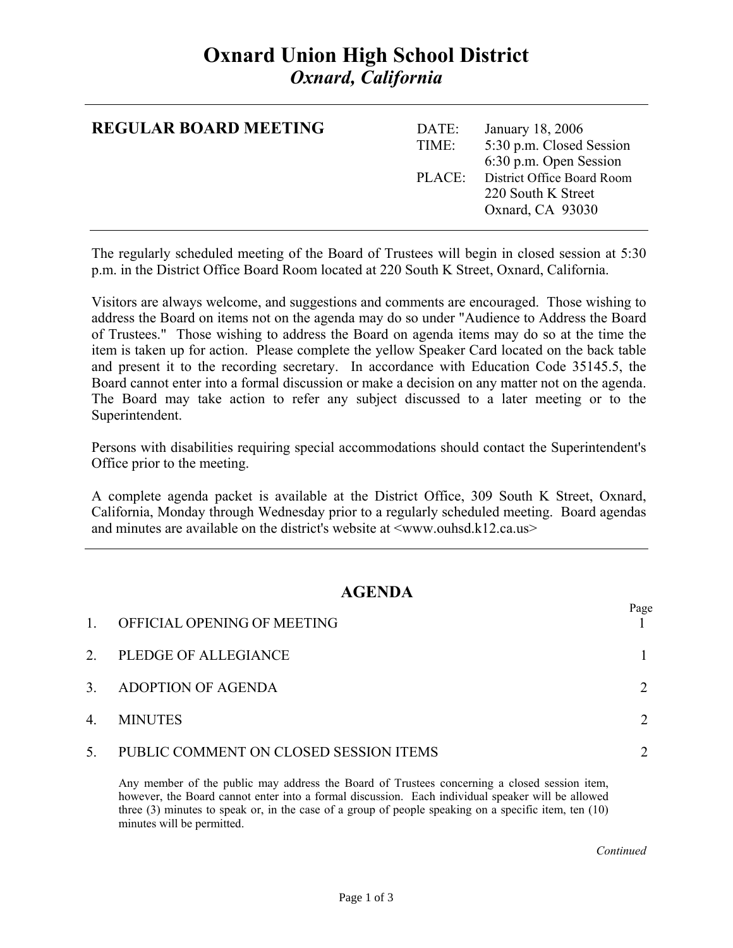# **Oxnard Union High School District**  *Oxnard, California*

| <b>REGULAR BOARD MEETING</b> | DATE:<br>TIME: | January 18, 2006<br>5:30 p.m. Closed Session<br>6:30 p.m. Open Session      |
|------------------------------|----------------|-----------------------------------------------------------------------------|
|                              |                | PLACE: District Office Board Room<br>220 South K Street<br>Oxnard, CA 93030 |

The regularly scheduled meeting of the Board of Trustees will begin in closed session at 5:30 p.m. in the District Office Board Room located at 220 South K Street, Oxnard, California.

Visitors are always welcome, and suggestions and comments are encouraged. Those wishing to address the Board on items not on the agenda may do so under "Audience to Address the Board of Trustees." Those wishing to address the Board on agenda items may do so at the time the item is taken up for action. Please complete the yellow Speaker Card located on the back table and present it to the recording secretary. In accordance with Education Code 35145.5, the Board cannot enter into a formal discussion or make a decision on any matter not on the agenda. The Board may take action to refer any subject discussed to a later meeting or to the Superintendent.

Persons with disabilities requiring special accommodations should contact the Superintendent's Office prior to the meeting.

A complete agenda packet is available at the District Office, 309 South K Street, Oxnard, California, Monday through Wednesday prior to a regularly scheduled meeting. Board agendas and minutes are available on the district's website at  $\langle$ www.ouhsd.k12.ca.us $>$ 

### **AGENDA**

| $\mathbf{1}$ | OFFICIAL OPENING OF MEETING            | Page |
|--------------|----------------------------------------|------|
| 2.           | PLEDGE OF ALLEGIANCE                   |      |
| 3.           | ADOPTION OF AGENDA                     |      |
| 4.           | <b>MINUTES</b>                         |      |
| 5.           | PUBLIC COMMENT ON CLOSED SESSION ITEMS |      |

Any member of the public may address the Board of Trustees concerning a closed session item, however, the Board cannot enter into a formal discussion. Each individual speaker will be allowed three (3) minutes to speak or, in the case of a group of people speaking on a specific item, ten (10) minutes will be permitted.

*Continued Continued*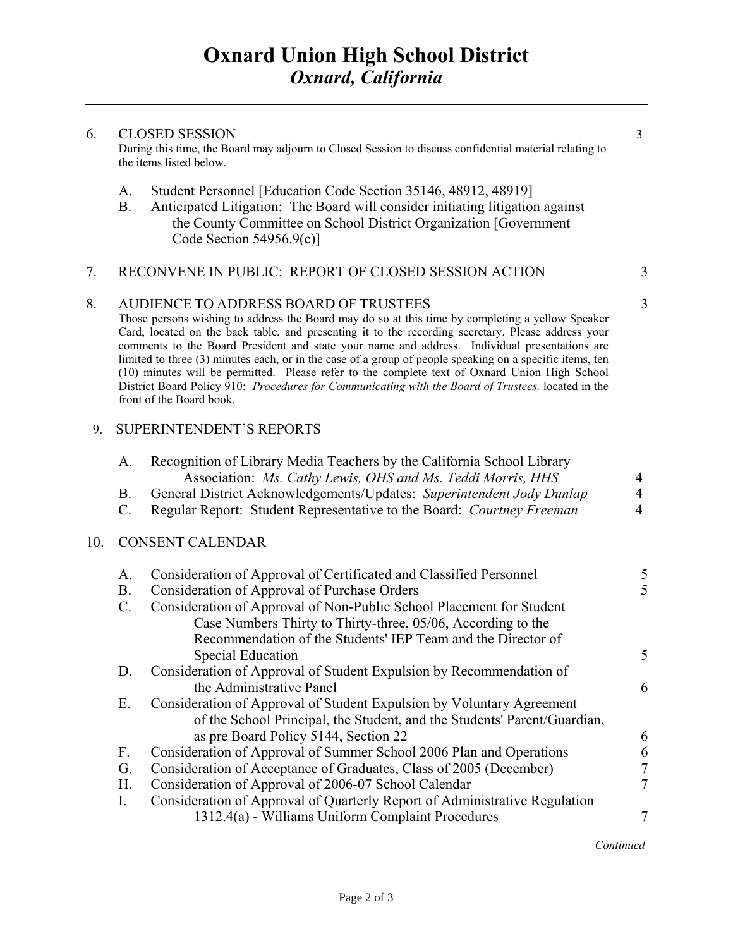#### 6. CLOSED SESSION 3

During this time, the Board may adjourn to Closed Session to discuss confidential material relating to the items listed below.

- A. Student Personnel [Education Code Section 35146, 48912, 48919]
- B. Anticipated Litigation: The Board will consider initiating litigation against the County Committee on School District Organization [Government Code Section 54956.9(c)]

#### 7. RECONVENE IN PUBLIC: REPORT OF CLOSED SESSION ACTION 3

#### 8. AUDIENCE TO ADDRESS BOARD OF TRUSTEES 3

Those persons wishing to address the Board may do so at this time by completing a yellow Speaker Card, located on the back table, and presenting it to the recording secretary. Please address your comments to the Board President and state your name and address. Individual presentations are limited to three (3) minutes each, or in the case of a group of people speaking on a specific items, ten (10) minutes will be permitted. Please refer to the complete text of Oxnard Union High School District Board Policy 910: *Procedures for Communicating with the Board of Trustees,* located in the front of the Board book.

#### 9. SUPERINTENDENT'S REPORTS

|     | А.              | Recognition of Library Media Teachers by the California School Library<br>Association: Ms. Cathy Lewis, OHS and Ms. Teddi Morris, HHS | 4              |
|-----|-----------------|---------------------------------------------------------------------------------------------------------------------------------------|----------------|
|     | Β.              | General District Acknowledgements/Updates: Superintendent Jody Dunlap                                                                 | 4              |
|     | $\mathcal{C}$ . | Regular Report: Student Representative to the Board: Courtney Freeman                                                                 | 4              |
|     |                 |                                                                                                                                       |                |
| 10. |                 | <b>CONSENT CALENDAR</b>                                                                                                               |                |
|     | A.              | Consideration of Approval of Certificated and Classified Personnel                                                                    | 5              |
|     | <b>B.</b>       | Consideration of Approval of Purchase Orders                                                                                          | 5              |
|     | $C$ .           | Consideration of Approval of Non-Public School Placement for Student                                                                  |                |
|     |                 | Case Numbers Thirty to Thirty-three, 05/06, According to the                                                                          |                |
|     |                 | Recommendation of the Students' IEP Team and the Director of                                                                          |                |
|     |                 | Special Education                                                                                                                     | 5              |
|     | D.              | Consideration of Approval of Student Expulsion by Recommendation of                                                                   |                |
|     |                 | the Administrative Panel                                                                                                              | 6              |
|     | Е.              | Consideration of Approval of Student Expulsion by Voluntary Agreement                                                                 |                |
|     |                 | of the School Principal, the Student, and the Students' Parent/Guardian,                                                              |                |
|     |                 | as pre Board Policy 5144, Section 22                                                                                                  | 6              |
|     | F.              | Consideration of Approval of Summer School 2006 Plan and Operations                                                                   | 6              |
|     | G.              | Consideration of Acceptance of Graduates, Class of 2005 (December)                                                                    | $\overline{7}$ |
|     | Н.              | Consideration of Approval of 2006-07 School Calendar                                                                                  | $\overline{7}$ |
|     | I.              | Consideration of Approval of Quarterly Report of Administrative Regulation                                                            |                |
|     |                 | 1312.4(a) - Williams Uniform Complaint Procedures                                                                                     | 7              |
|     |                 |                                                                                                                                       |                |

 *Continued*